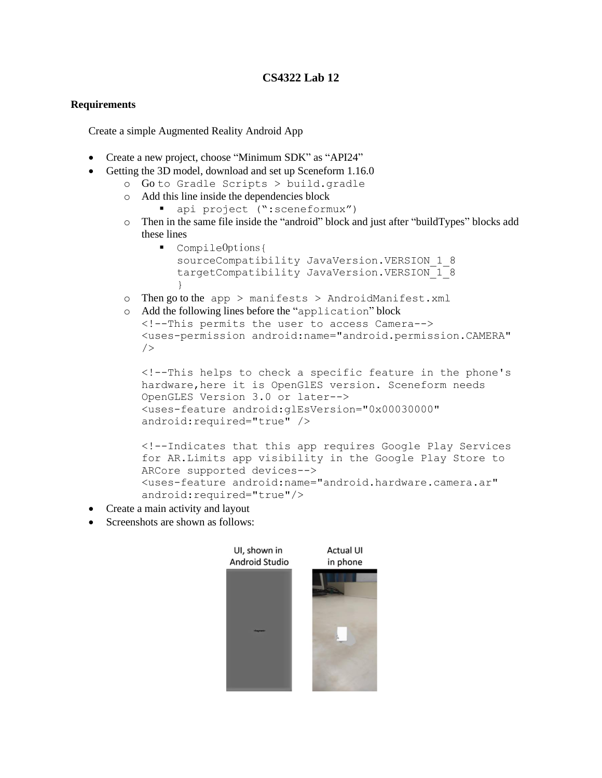## **CS4322 Lab 12**

## **Requirements**

Create a simple Augmented Reality Android App

- Create a new project, choose "Minimum SDK" as "API24"
- Getting the 3D model, download and set up Sceneform 1.16.0
	- o Go to Gradle Scripts > build.gradle
	- o Add this line inside the dependencies block
		- api project (":sceneformux")
	- o Then in the same file inside the "android" block and just after "buildTypes" blocks add these lines
		- CompileOptions{ sourceCompatibility JavaVersion.VERSION 1 8 targetCompatibility JavaVersion.VERSION 1 8 }
	- o Then go to the app  $>$  manifests  $>$  AndroidManifest.xml
	- o Add the following lines before the "application" block <!--This permits the user to access Camera--> <uses-permission android:name="android.permission.CAMERA"

```
<!--This helps to check a specific feature in the phone's 
hardware, here it is OpenGlES version. Sceneform needs
OpenGLES Version 3.0 or later-->
<uses-feature android:glEsVersion="0x00030000" 
android:required="true" />
```

```
<!--Indicates that this app requires Google Play Services 
for AR.Limits app visibility in the Google Play Store to 
ARCore supported devices-->
<uses-feature android:name="android.hardware.camera.ar" 
android:required="true"/>
```
• Create a main activity and layout

 $/$ 

• Screenshots are shown as follows: